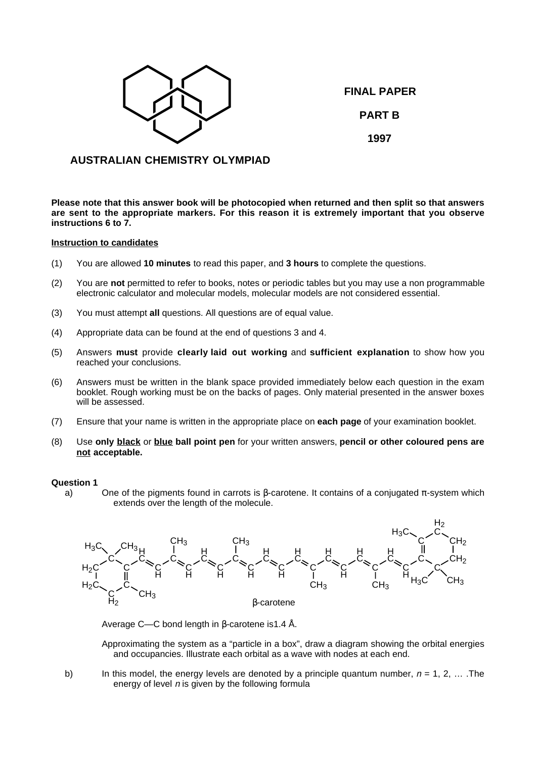

**FINAL PAPER PART B 1997**

# **AUSTRALIAN CHEMISTRY OLYMPIAD**

**Please note that this answer book will be photocopied when returned and then split so that answers are sent to the appropriate markers. For this reason it is extremely important that you observe instructions 6 to 7.**

# **Instruction to candidates**

- (1) You are allowed **10 minutes** to read this paper, and **3 hours** to complete the questions.
- (2) You are **not** permitted to refer to books, notes or periodic tables but you may use a non programmable electronic calculator and molecular models, molecular models are not considered essential.
- (3) You must attempt **all** questions. All questions are of equal value.
- (4) Appropriate data can be found at the end of questions 3 and 4.
- (5) Answers **must** provide **clearly laid out working** and **sufficient explanation** to show how you reached your conclusions.
- (6) Answers must be written in the blank space provided immediately below each question in the exam booklet. Rough working must be on the backs of pages. Only material presented in the answer boxes will be assessed.
- (7) Ensure that your name is written in the appropriate place on **each page** of your examination booklet.
- (8) Use **only black** or **blue ball point pen** for your written answers, **pencil or other coloured pens are not acceptable.**

## **Question 1**

a) One of the pigments found in carrots is  $\beta$ -carotene. It contains of a conjugated  $\pi$ -system which extends over the length of the molecule.



Average C—C bond length in β-carotene is1.4 Å.

Approximating the system as a "particle in a box", draw a diagram showing the orbital energies and occupancies. Illustrate each orbital as a wave with nodes at each end.

b) In this model, the energy levels are denoted by a principle quantum number,  $n = 1, 2, ...$  The energy of level  $n$  is given by the following formula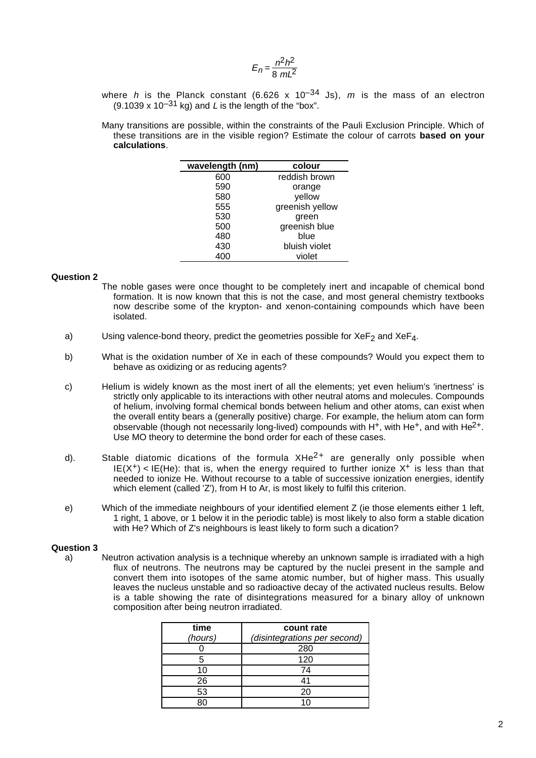$$
E_n = \frac{n^2h^2}{8 mL^2}
$$

- where h is the Planck constant (6.626 x 10<sup>-34</sup> Js), m is the mass of an electron  $(9.1039 \times 10^{-31} \text{ kg})$  and L is the length of the "box".
- Many transitions are possible, within the constraints of the Pauli Exclusion Principle. Which of these transitions are in the visible region? Estimate the colour of carrots **based on your calculations**.

| wavelength (nm) | colour          |  |
|-----------------|-----------------|--|
| 600             | reddish brown   |  |
| 590             | orange          |  |
| 580             | yellow          |  |
| 555             | greenish yellow |  |
| 530             | green           |  |
| 500             | greenish blue   |  |
| 480             | blue            |  |
| 430             | bluish violet   |  |
|                 | violet          |  |

#### **Question 2**

- The noble gases were once thought to be completely inert and incapable of chemical bond formation. It is now known that this is not the case, and most general chemistry textbooks now describe some of the krypton- and xenon-containing compounds which have been isolated.
- a) Using valence-bond theory, predict the geometries possible for  $XeF<sub>2</sub>$  and  $XeF<sub>4</sub>$ .
- b) What is the oxidation number of Xe in each of these compounds? Would you expect them to behave as oxidizing or as reducing agents?
- c) Helium is widely known as the most inert of all the elements; yet even helium's 'inertness' is strictly only applicable to its interactions with other neutral atoms and molecules. Compounds of helium, involving formal chemical bonds between helium and other atoms, can exist when the overall entity bears a (generally positive) charge. For example, the helium atom can form observable (though not necessarily long-lived) compounds with  $H^+$ , with He<sup>+</sup>, and with He<sup>2+</sup>. Use MO theory to determine the bond order for each of these cases.
- d). Stable diatomic dications of the formula  $XHe^{2+}$  are generally only possible when  $IE(X^+)$  < IE(He): that is, when the energy required to further ionize  $X^+$  is less than that needed to ionize He. Without recourse to a table of successive ionization energies, identify which element (called 'Z'), from H to Ar, is most likely to fulfil this criterion.
- e) Which of the immediate neighbours of your identified element Z (ie those elements either 1 left, 1 right, 1 above, or 1 below it in the periodic table) is most likely to also form a stable dication with He? Which of Z's neighbours is least likely to form such a dication?

## **Question 3**

a) Neutron activation analysis is a technique whereby an unknown sample is irradiated with a high flux of neutrons. The neutrons may be captured by the nuclei present in the sample and convert them into isotopes of the same atomic number, but of higher mass. This usually leaves the nucleus unstable and so radioactive decay of the activated nucleus results. Below is a table showing the rate of disintegrations measured for a binary alloy of unknown composition after being neutron irradiated.

| time<br>(hours) | count rate<br>(disintegrations per second) |  |
|-----------------|--------------------------------------------|--|
|                 | 280                                        |  |
| 5               | 120                                        |  |
| 10              | 74                                         |  |
| 26              | 41                                         |  |
| 53              | 20                                         |  |
| Rſ              |                                            |  |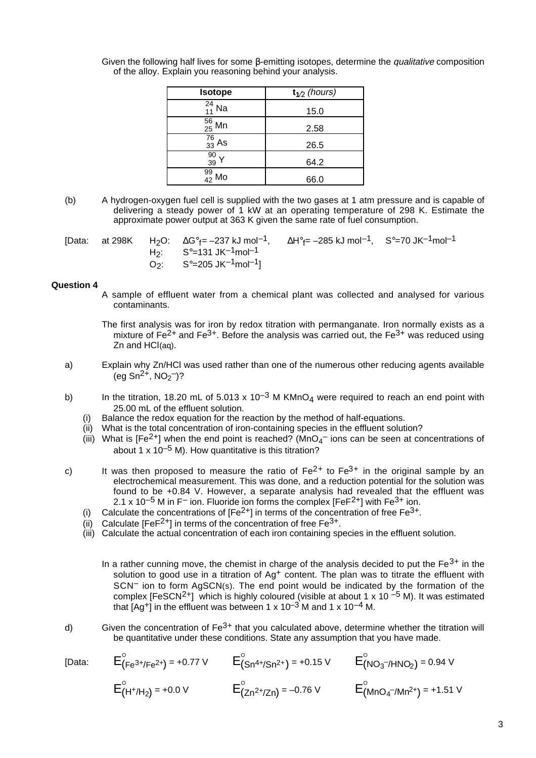| <b>Isotope</b>     | $t_{1/2}$ (hours) |  |
|--------------------|-------------------|--|
| $^{24}_{11}$ Na    | 15.0              |  |
| $\frac{56}{25}$ Mn | 2.58              |  |
| $\frac{76}{33}$ As | 26.5              |  |
| $\frac{90}{39}$    | 64.2              |  |
| 99<br>42<br>Mo     | 66.0              |  |

Given the following half lives for some  $\beta$ -emitting isotopes, determine the *qualitative* composition of the alloy. Explain you reasoning behind your analysis.

(b) A hydrogen-oxygen fuel cell is supplied with the two gases at 1 atm pressure and is capable of delivering a steady power of 1 kW at an operating temperature of 298 K. Estimate the approximate power output at 363 K given the same rate of fuel consumption.

|  | [Data: at 298K H <sub>2</sub> O: $\Delta G^{\circ}$ <sub>f</sub> = -237 kJ mol <sup>-1</sup> , $\Delta H^{\circ}$ <sub>f</sub> = -285 kJ mol <sup>-1</sup> , S° = 70 JK <sup>-1</sup> mol <sup>-1</sup> |  |
|--|---------------------------------------------------------------------------------------------------------------------------------------------------------------------------------------------------------|--|
|  | H <sub>2</sub> : $S^{\circ}$ =131 JK <sup>-1</sup> mol <sup>-1</sup>                                                                                                                                    |  |
|  | O <sub>2</sub> : $S^{\circ}$ =205 JK $^{-1}$ mol $^{-1}$ ]                                                                                                                                              |  |

## **Question 4**

A sample of effluent water from a chemical plant was collected and analysed for various contaminants.

The first analysis was for iron by redox titration with permanganate. Iron normally exists as a mixture of  $Fe^{2+}$  and  $Fe^{3+}$ . Before the analysis was carried out, the  $Fe^{3+}$  was reduced using Zn and HCl(aq).

- a) Explain why Zn/HCl was used rather than one of the numerous other reducing agents available  $(eg Sn<sup>2+</sup>, NO<sub>2</sub><sup>-</sup>)?$
- b) In the titration, 18.20 mL of 5.013 x 10<sup>-3</sup> M KMnO<sub>4</sub> were required to reach an end point with 25.00 mL of the effluent solution.
	- Balance the redox equation for the reaction by the method of half-equations.
	- (ii) What is the total concentration of iron-containing species in the effluent solution?
	- (iii) What is [Fe<sup>2+</sup>] when the end point is reached? (MnO<sub>4</sub><sup>-</sup> ions can be seen at concentrations of about 1 x 10<sup>-5</sup> M). How quantitative is this titration?
- c) It was then proposed to measure the ratio of  $Fe^{2+}$  to  $Fe^{3+}$  in the original sample by an electrochemical measurement. This was done, and a reduction potential for the solution was found to be +0.84 V. However, a separate analysis had revealed that the effluent was 2.1 x 10<sup>-5</sup> M in F<sup>-</sup> ion. Fluoride ion forms the complex [FeF<sup>2+</sup>] with Fe<sup>3+</sup> ion.
	- Calculate the concentrations of  $[Fe^{2+}]$  in terms of the concentration of free  $Fe^{3+}$ .
	- (ii) Calculate  $[FeF^{2+}]$  in terms of the concentration of free  $Fe^{3+}$ .
	- (iii) Calculate the actual concentration of each iron containing species in the effluent solution.
		- In a rather cunning move, the chemist in charge of the analysis decided to put the  $Fe<sup>3+</sup>$  in the solution to good use in a titration of Ag<sup>+</sup> content. The plan was to titrate the effluent with SCN<sup>-</sup> ion to form AgSCN(s). The end point would be indicated by the formation of the complex  $[FeSCN<sup>2+</sup>]$  which is highly coloured (visible at about 1 x 10<sup>-5</sup> M). It was estimated that  $[Ad^+]$  in the effluent was between 1 x 10<sup>-3</sup> M and 1 x 10<sup>-4</sup> M.
- d) Given the concentration of  $Fe^{3+}$  that you calculated above, determine whether the titration will be quantitative under these conditions. State any assumption that you have made.

[Data:  $E^{\circ}_{(Fe^{3+}/Fe^{2+})}$  = +0.77 V  $E^{\circ}_{(Sn^{4+}/Sn^{2+})}$  = +0.15 V  $E^{\circ}_{(NO_3^{-}/HNO_2)}$  = 0.94 V  $E_{(H^+/H_2)}^{\circ}$  = +0.0 V  $E_{(Zn^{2+/}Zn)}^{\circ}$  = -0.76 V  $E_{(MnO_4^{-/}Mn^{2+})}^{\circ}$  = +1.51 V